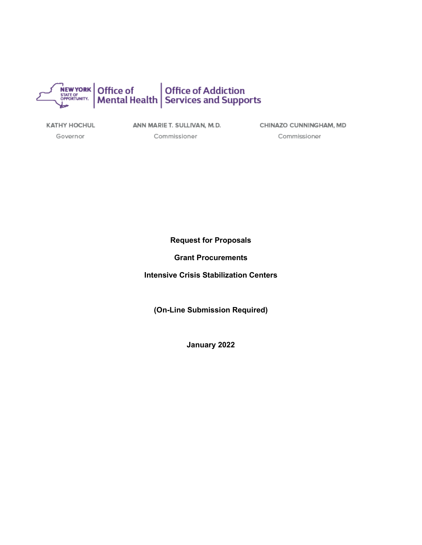

KATHY HOCHUL

ANN MARIE T. SULLIVAN, M.D.

Governor

Commissioner

CHINAZO CUNNINGHAM, MD Commissioner

**Request for Proposals** 

**Grant Procurements**

**Intensive Crisis Stabilization Centers**

**(On-Line Submission Required)** 

**January 2022**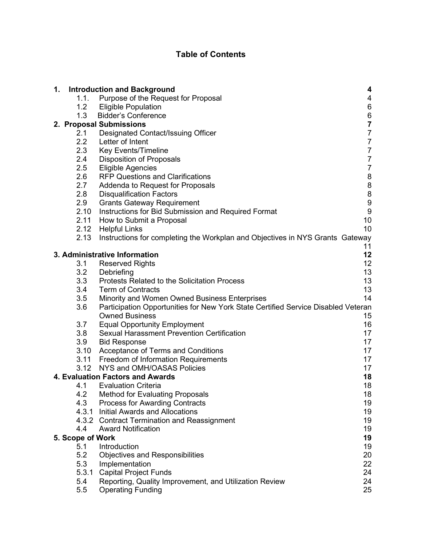# **Table of Contents**

| 1. |                  | <b>Introduction and Background</b>                                                 | 4                                          |
|----|------------------|------------------------------------------------------------------------------------|--------------------------------------------|
|    | 1.1.             | Purpose of the Request for Proposal                                                | 4                                          |
|    | 1.2              | <b>Eligible Population</b>                                                         | $\,6$                                      |
|    | 1.3              | <b>Bidder's Conference</b>                                                         |                                            |
|    |                  | 2. Proposal Submissions                                                            | $\begin{array}{c} 6 \\ 7 \\ 7 \end{array}$ |
|    | 2.1              | Designated Contact/Issuing Officer                                                 |                                            |
|    | 2.2              | Letter of Intent                                                                   | $\overline{7}$                             |
|    | 2.3              | <b>Key Events/Timeline</b>                                                         | $\boldsymbol{7}$                           |
|    | 2.4              | <b>Disposition of Proposals</b>                                                    | $\boldsymbol{7}$                           |
|    | 2.5              | <b>Eligible Agencies</b>                                                           | $\overline{7}$                             |
|    | $2.6\,$          | <b>RFP Questions and Clarifications</b>                                            |                                            |
|    | 2.7              | Addenda to Request for Proposals                                                   | 8889                                       |
|    | 2.8              | <b>Disqualification Factors</b>                                                    |                                            |
|    | 2.9              | <b>Grants Gateway Requirement</b>                                                  |                                            |
|    |                  | 2.10 Instructions for Bid Submission and Required Format                           | $\overline{9}$                             |
|    | 2.11             | How to Submit a Proposal                                                           | 10                                         |
|    |                  | 2.12 Helpful Links                                                                 | 10                                         |
|    | 2.13             | Instructions for completing the Workplan and Objectives in NYS Grants Gateway      |                                            |
|    |                  |                                                                                    | 11                                         |
|    |                  | 3. Administrative Information                                                      | 12                                         |
|    | 3.1              | <b>Reserved Rights</b>                                                             | 12 <sup>2</sup>                            |
|    | 3.2<br>3.3       | Debriefing<br><b>Protests Related to the Solicitation Process</b>                  | 13<br>13                                   |
|    | 3.4              | <b>Term of Contracts</b>                                                           | 13                                         |
|    | 3.5              | Minority and Women Owned Business Enterprises                                      | 14                                         |
|    | 3.6              | Participation Opportunities for New York State Certified Service Disabled Veteran  |                                            |
|    |                  | <b>Owned Business</b>                                                              | 15                                         |
|    | 3.7              | <b>Equal Opportunity Employment</b>                                                | 16                                         |
|    | 3.8              | <b>Sexual Harassment Prevention Certification</b>                                  | 17                                         |
|    | 3.9              | <b>Bid Response</b>                                                                | 17                                         |
|    | 3.10             | Acceptance of Terms and Conditions                                                 | 17                                         |
|    | 3.11             | Freedom of Information Requirements                                                | 17                                         |
|    | 3.12             | NYS and OMH/OASAS Policies                                                         | 17                                         |
|    |                  | 4. Evaluation Factors and Awards                                                   | 18                                         |
|    | 4.1              | <b>Evaluation Criteria</b>                                                         | 18                                         |
|    | 4.2              | <b>Method for Evaluating Proposals</b>                                             | 18                                         |
|    | 4.3              | <b>Process for Awarding Contracts</b>                                              | 19                                         |
|    | 4.3.1            | Initial Awards and Allocations                                                     | 19                                         |
|    |                  | 4.3.2 Contract Termination and Reassignment                                        | 19                                         |
|    | 4.4              | <b>Award Notification</b>                                                          | 19                                         |
|    | 5. Scope of Work |                                                                                    | 19                                         |
|    | 5.1              | Introduction                                                                       | 19                                         |
|    | 5.2              | <b>Objectives and Responsibilities</b>                                             | 20                                         |
|    | 5.3              | Implementation                                                                     | 22                                         |
|    | 5.3.1            | <b>Capital Project Funds</b>                                                       | 24                                         |
|    | 5.4<br>5.5       | Reporting, Quality Improvement, and Utilization Review<br><b>Operating Funding</b> | 24<br>25                                   |
|    |                  |                                                                                    |                                            |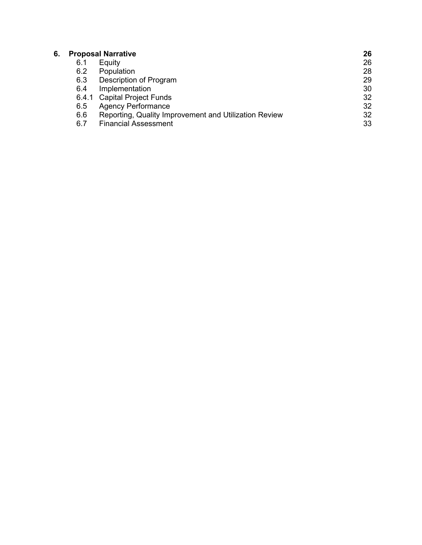| 6. | <b>Proposal Narrative</b> |                                                       | 26 |
|----|---------------------------|-------------------------------------------------------|----|
|    | 6.1                       | Equity                                                | 26 |
|    | 6.2                       | Population                                            | 28 |
|    | 6.3                       | Description of Program                                | 29 |
|    | 6.4                       | Implementation                                        | 30 |
|    |                           | 6.4.1 Capital Project Funds                           | 32 |
|    | 6.5                       | <b>Agency Performance</b>                             | 32 |
|    | 6.6                       | Reporting, Quality Improvement and Utilization Review | 32 |
|    | 6.7                       | <b>Financial Assessment</b>                           | 33 |
|    |                           |                                                       |    |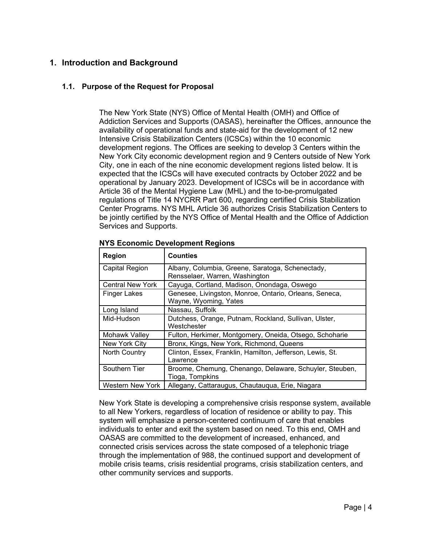## <span id="page-3-0"></span>**1. Introduction and Background**

## <span id="page-3-1"></span>**1.1. Purpose of the Request for Proposal**

The New York State (NYS) Office of Mental Health (OMH) and Office of Addiction Services and Supports (OASAS), hereinafter the Offices, announce the availability of operational funds and state-aid for the development of 12 new Intensive Crisis Stabilization Centers (ICSCs) within the 10 economic development regions. The Offices are seeking to develop 3 Centers within the New York City economic development region and 9 Centers outside of New York City, one in each of the nine economic development regions listed below. It is expected that the ICSCs will have executed contracts by October 2022 and be operational by January 2023. Development of ICSCs will be in accordance with Article 36 of the Mental Hygiene Law (MHL) and the to-be-promulgated regulations of Title 14 NYCRR Part 600, regarding certified Crisis Stabilization Center Programs. NYS MHL Article 36 authorizes Crisis Stabilization Centers to be jointly certified by the NYS Office of Mental Health and the Office of Addiction Services and Supports.

| Region                  | <b>Counties</b>                                                                    |
|-------------------------|------------------------------------------------------------------------------------|
| Capital Region          | Albany, Columbia, Greene, Saratoga, Schenectady,<br>Rensselaer, Warren, Washington |
| <b>Central New York</b> | Cayuga, Cortland, Madison, Onondaga, Oswego                                        |
| <b>Finger Lakes</b>     | Genesee, Livingston, Monroe, Ontario, Orleans, Seneca,<br>Wayne, Wyoming, Yates    |
| Long Island             | Nassau, Suffolk                                                                    |
| Mid-Hudson              | Dutchess, Orange, Putnam, Rockland, Sullivan, Ulster,<br>Westchester               |
| Mohawk Valley           | Fulton, Herkimer, Montgomery, Oneida, Otsego, Schoharie                            |
| New York City           | Bronx, Kings, New York, Richmond, Queens                                           |
| <b>North Country</b>    | Clinton, Essex, Franklin, Hamilton, Jefferson, Lewis, St.<br>Lawrence              |
| Southern Tier           | Broome, Chemung, Chenango, Delaware, Schuyler, Steuben,<br>Tioga, Tompkins         |
| Western New York        | Allegany, Cattaraugus, Chautauqua, Erie, Niagara                                   |

#### **NYS Economic Development Regions**

New York State is developing a comprehensive crisis response system, available to all New Yorkers, regardless of location of residence or ability to pay. This system will emphasize a person-centered continuum of care that enables individuals to enter and exit the system based on need. To this end, OMH and OASAS are committed to the development of increased, enhanced, and connected crisis services across the state composed of a telephonic triage through the implementation of 988, the continued support and development of mobile crisis teams, crisis residential programs, crisis stabilization centers, and other community services and supports.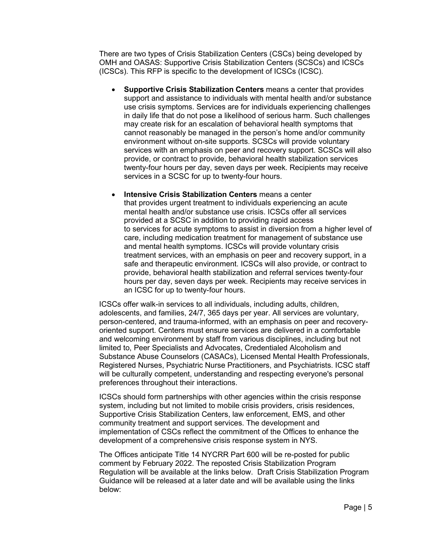There are two types of Crisis Stabilization Centers (CSCs) being developed by OMH and OASAS: Supportive Crisis Stabilization Centers (SCSCs) and ICSCs (ICSCs). This RFP is specific to the development of ICSCs (ICSC).

- **Supportive Crisis Stabilization Centers** means a center that provides support and assistance to individuals with mental health and/or substance use crisis symptoms. Services are for individuals experiencing challenges in daily life that do not pose a likelihood of serious harm. Such challenges may create risk for an escalation of behavioral health symptoms that cannot reasonably be managed in the person's home and/or community environment without on-site supports. SCSCs will provide voluntary services with an emphasis on peer and recovery support. SCSCs will also provide, or contract to provide, behavioral health stabilization services twenty-four hours per day, seven days per week. Recipients may receive services in a SCSC for up to twenty-four hours.
- **Intensive Crisis Stabilization Centers** means a center that provides urgent treatment to individuals experiencing an acute mental health and/or substance use crisis. ICSCs offer all services provided at a SCSC in addition to providing rapid access to services for acute symptoms to assist in diversion from a higher level of care, including medication treatment for management of substance use and mental health symptoms. ICSCs will provide voluntary crisis treatment services, with an emphasis on peer and recovery support, in a safe and therapeutic environment. ICSCs will also provide, or contract to provide, behavioral health stabilization and referral services twenty-four hours per day, seven days per week. Recipients may receive services in an ICSC for up to twenty-four hours.

ICSCs offer walk-in services to all individuals, including adults, children, adolescents, and families, 24/7, 365 days per year. All services are voluntary, person-centered, and trauma-informed, with an emphasis on peer and recoveryoriented support. Centers must ensure services are delivered in a comfortable and welcoming environment by staff from various disciplines, including but not limited to, Peer Specialists and Advocates, Credentialed Alcoholism and Substance Abuse Counselors (CASACs), Licensed Mental Health Professionals, Registered Nurses, Psychiatric Nurse Practitioners, and Psychiatrists. ICSC staff will be culturally competent, understanding and respecting everyone's personal preferences throughout their interactions.

ICSCs should form partnerships with other agencies within the crisis response system, including but not limited to mobile crisis providers, crisis residences, Supportive Crisis Stabilization Centers, law enforcement, EMS, and other community treatment and support services. The development and implementation of CSCs reflect the commitment of the Offices to enhance the development of a comprehensive crisis response system in NYS.

The Offices anticipate Title 14 NYCRR Part 600 will be re-posted for public comment by February 2022. The reposted Crisis Stabilization Program Regulation will be available at the links below. Draft Crisis Stabilization Program Guidance will be released at a later date and will be available using the links below: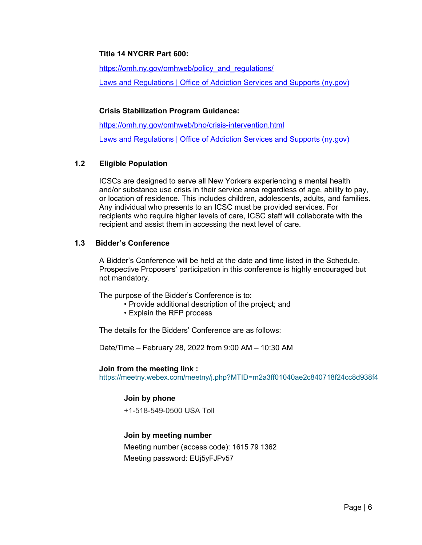## **Title 14 NYCRR Part 600:**

https://omh.ny.gov/omhweb/policy\_and\_regulations/

[Laws and Regulations | Office of Addiction Services and Supports \(ny.gov\)](https://oasas.ny.gov/legal)

## **Crisis Stabilization Program Guidance:**

<https://omh.ny.gov/omhweb/bho/crisis-intervention.html> [Laws and Regulations | Office of Addiction](https://oasas.ny.gov/legal) Services and Supports (ny.gov)

## <span id="page-5-0"></span>**1.2 Eligible Population**

ICSCs are designed to serve all New Yorkers experiencing a mental health and/or substance use crisis in their service area regardless of age, ability to pay, or location of residence. This includes children, adolescents, adults, and families. Any individual who presents to an ICSC must be provided services. For recipients who require higher levels of care, ICSC staff will collaborate with the recipient and assist them in accessing the next level of care.

## <span id="page-5-1"></span>**1.3 Bidder's Conference**

A Bidder's Conference will be held at the date and time listed in the Schedule. Prospective Proposers' participation in this conference is highly encouraged but not mandatory.

The purpose of the Bidder's Conference is to:

- Provide additional description of the project; and
- Explain the RFP process

The details for the Bidders' Conference are as follows:

Date/Time – February 28, 2022 from 9:00 AM – 10:30 AM

#### **Join from the meeting link :**

<https://meetny.webex.com/meetny/j.php?MTID=m2a3ff01040ae2c840718f24cc8d938f4>

## **Join by phone**

+1-518-549-0500 USA Toll

## **Join by meeting number**

Meeting number (access code): 1615 79 1362 Meeting password: EUj5yFJPv57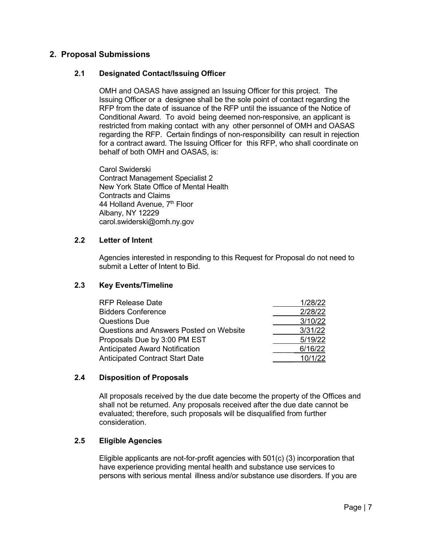## <span id="page-6-0"></span>**2. Proposal Submissions**

## <span id="page-6-1"></span>**2.1 Designated Contact/Issuing Officer**

OMH and OASAS have assigned an Issuing Officer for this project. The Issuing Officer or a designee shall be the sole point of contact regarding the RFP from the date of issuance of the RFP until the issuance of the Notice of Conditional Award. To avoid being deemed non-responsive, an applicant is restricted from making contact with any other personnel of OMH and OASAS regarding the RFP. Certain findings of non-responsibility can result in rejection for a contract award. The Issuing Officer for this RFP, who shall coordinate on behalf of both OMH and OASAS, is:

Carol Swiderski Contract Management Specialist 2 New York State Office of Mental Health Contracts and Claims 44 Holland Avenue, 7<sup>th</sup> Floor Albany, NY 12229 carol.swiderski@omh.ny.gov

#### <span id="page-6-2"></span>**2.2 Letter of Intent**

Agencies interested in responding to this Request for Proposal do not need to submit a Letter of Intent to Bid.

## **2.3 Key Events/Timeline**

<span id="page-6-3"></span>

| <b>RFP Release Date</b>                 | 1/28/22 |
|-----------------------------------------|---------|
| <b>Bidders Conference</b>               | 2/28/22 |
| <b>Questions Due</b>                    | 3/10/22 |
| Questions and Answers Posted on Website | 3/31/22 |
| Proposals Due by 3:00 PM EST            | 5/19/22 |
| <b>Anticipated Award Notification</b>   | 6/16/22 |
| <b>Anticipated Contract Start Date</b>  | 10/1/22 |

## <span id="page-6-4"></span>**2.4 Disposition of Proposals**

All proposals received by the due date become the property of the Offices and shall not be returned. Any proposals received after the due date cannot be evaluated; therefore, such proposals will be disqualified from further consideration.

## <span id="page-6-5"></span>**2.5 Eligible Agencies**

Eligible applicants are not-for-profit agencies with 501(c) (3) incorporation that have experience providing mental health and substance use services to persons with serious mental illness and/or substance use disorders. If you are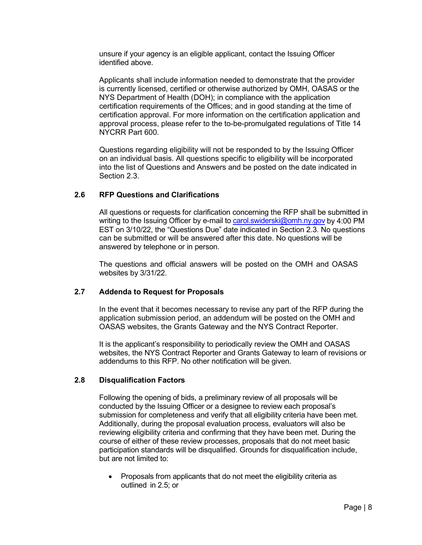unsure if your agency is an eligible applicant, contact the Issuing Officer identified above.

Applicants shall include information needed to demonstrate that the provider is currently licensed, certified or otherwise authorized by OMH, OASAS or the NYS Department of Health (DOH); in compliance with the application certification requirements of the Offices; and in good standing at the time of certification approval. For more information on the certification application and approval process, please refer to the to-be-promulgated regulations of Title 14 NYCRR Part 600.

Questions regarding eligibility will not be responded to by the Issuing Officer on an individual basis. All questions specific to eligibility will be incorporated into the list of Questions and Answers and be posted on the date indicated in Section 2.3.

## <span id="page-7-0"></span>**2.6 RFP Questions and Clarifications**

All questions or requests for clarification concerning the RFP shall be submitted in writing to the Issuing Officer by e-mail to [carol.swiderski@omh.ny.gov](mailto:carol.swiderski@omh.ny.gov) by 4:00 PM EST on 3/10/22, the "Questions Due" date indicated in Section 2.3. No questions can be submitted or will be answered after this date. No questions will be answered by telephone or in person.

The questions and official answers will be posted on the OMH and OASAS websites by 3/31/22.

#### <span id="page-7-1"></span>**2.7 Addenda to Request for Proposals**

In the event that it becomes necessary to revise any part of the RFP during the application submission period, an addendum will be posted on the OMH and OASAS websites, the Grants Gateway and the NYS Contract Reporter.

It is the applicant's responsibility to periodically review the OMH and OASAS websites, the NYS Contract Reporter and Grants Gateway to learn of revisions or addendums to this RFP. No other notification will be given.

#### <span id="page-7-2"></span>**2.8 Disqualification Factors**

Following the opening of bids, a preliminary review of all proposals will be conducted by the Issuing Officer or a designee to review each proposal's submission for completeness and verify that all eligibility criteria have been met. Additionally, during the proposal evaluation process, evaluators will also be reviewing eligibility criteria and confirming that they have been met. During the course of either of these review processes, proposals that do not meet basic participation standards will be disqualified. Grounds for disqualification include, but are not limited to:

• Proposals from applicants that do not meet the eligibility criteria as outlined in 2.5; or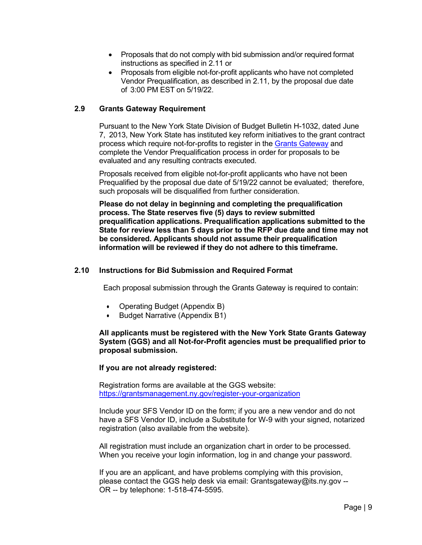- Proposals that do not comply with bid submission and/or required format instructions as specified in 2.11 or
- Proposals from eligible not-for-profit applicants who have not completed Vendor Prequalification, as described in 2.11, by the proposal due date of 3:00 PM EST on 5/19/22.

#### <span id="page-8-0"></span>**2.9 Grants Gateway Requirement**

Pursuant to the New York State Division of Budget Bulletin H-1032, dated June 7, 2013, New York State has instituted key reform initiatives to the grant contract process which require not-for-profits to register in the Grants [Gateway](https://grantsreform.ny.gov/) and complete the Vendor Prequalification process in order for proposals to be evaluated and any resulting contracts executed.

Proposals received from eligible not-for-profit applicants who have not been Prequalified by the proposal due date of 5/19/22 cannot be evaluated; therefore, such proposals will be disqualified from further consideration.

**Please do not delay in beginning and completing the prequalification process. The State reserves five (5) days to review submitted prequalification applications. Prequalification applications submitted to the State for review less than 5 days prior to the RFP due date and time may not be considered. Applicants should not assume their prequalification information will be reviewed if they do not adhere to this timeframe.** 

#### <span id="page-8-1"></span>**2.10 Instructions for Bid Submission and Required Format**

Each proposal submission through the Grants Gateway is required to contain:

- Operating Budget (Appendix B)
- Budget Narrative (Appendix B1)

#### **All applicants must be registered with the New York State Grants Gateway System (GGS) and all Not-for-Profit agencies must be prequalified prior to proposal submission.**

#### **If you are not already registered:**

Registration forms are available at the GGS website: <https://grantsmanagement.ny.gov/register-your-organization>

Include your SFS Vendor ID on the form; if you are a new vendor and do not have a SFS Vendor ID, include a Substitute for W-9 with your signed, notarized registration (also available from the website).

All registration must include an organization chart in order to be processed. When you receive your login information, log in and change your password.

If you are an applicant, and have problems complying with this provision, please contact the GGS help desk via email: Grantsgateway@its.ny.gov -- OR -- by telephone: 1-518-474-5595.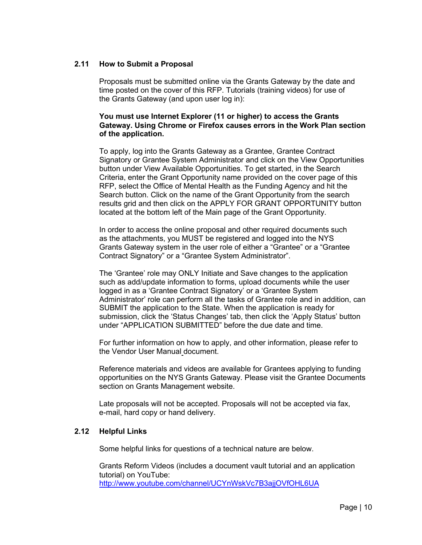#### <span id="page-9-0"></span>**2.11 How to Submit a Proposal**

Proposals must be submitted online via the Grants Gateway by the date and time posted on the cover of this RFP. Tutorials (training videos) for use of the Grants Gateway (and upon user log in):

#### **You must use Internet Explorer (11 or higher) to access the Grants Gateway. Using Chrome or Firefox causes errors in the Work Plan section of the application.**

To apply, log into the Grants Gateway as a Grantee, Grantee Contract Signatory or Grantee System Administrator and click on the View Opportunities button under View Available Opportunities. To get started, in the Search Criteria, enter the Grant Opportunity name provided on the cover page of this RFP, select the Office of Mental Health as the Funding Agency and hit the Search button. Click on the name of the Grant Opportunity from the search results grid and then click on the APPLY FOR GRANT OPPORTUNITY button located at the bottom left of the Main page of the Grant Opportunity.

In order to access the online proposal and other required documents such as the attachments, you MUST be registered and logged into the NYS Grants Gateway system in the user role of either a "Grantee" or a "Grantee Contract Signatory" or a "Grantee System Administrator".

The 'Grantee' role may ONLY Initiate and Save changes to the application such as add/update information to forms, upload documents while the user logged in as a 'Grantee Contract Signatory' or a 'Grantee System Administrator' role can perform all the tasks of Grantee role and in addition, can SUBMIT the application to the State. When the application is ready for submission, click the 'Status Changes' tab, then click the 'Apply Status' button under "APPLICATION SUBMITTED" before the due date and time.

For further information on how to apply, and other information, please refer to the Vendor User Manual document.

Reference materials and videos are available for Grantees applying to funding opportunities on the NYS Grants Gateway. Please visit the [Grantee Documents](https://grantsmanagement.ny.gov/grantee-documents)  section on Grants Management website.

Late proposals will not be accepted. Proposals will not be accepted via fax, e-mail, hard copy or hand delivery.

#### <span id="page-9-1"></span>**2.12 Helpful Links**

Some helpful links for questions of a technical nature are below.

Grants Reform Videos (includes a document vault tutorial and an application tutorial) on YouTube: <http://www.youtube.com/channel/UCYnWskVc7B3ajjOVfOHL6UA>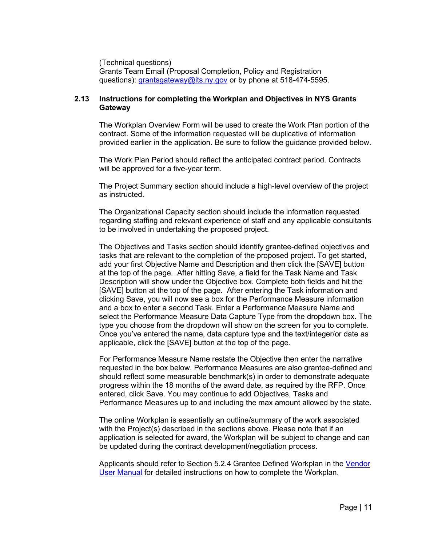(Technical questions)

Grants Team Email (Proposal Completion, Policy and Registration questions): [grantsgateway@its.ny.gov](mailto:grantsgateway@its.ny.gov) or by phone at 518-474-5595.

## <span id="page-10-0"></span>**2.13 Instructions for completing the Workplan and Objectives in NYS Grants Gateway**

The Workplan Overview Form will be used to create the Work Plan portion of the contract. Some of the information requested will be duplicative of information provided earlier in the application. Be sure to follow the guidance provided below.

The Work Plan Period should reflect the anticipated contract period. Contracts will be approved for a five-year term.

The Project Summary section should include a high-level overview of the project as instructed.

The Organizational Capacity section should include the information requested regarding staffing and relevant experience of staff and any applicable consultants to be involved in undertaking the proposed project.

The Objectives and Tasks section should identify grantee-defined objectives and tasks that are relevant to the completion of the proposed project. To get started, add your first Objective Name and Description and then click the [SAVE] button at the top of the page. After hitting Save, a field for the Task Name and Task Description will show under the Objective box. Complete both fields and hit the [SAVE] button at the top of the page. After entering the Task information and clicking Save, you will now see a box for the Performance Measure information and a box to enter a second Task. Enter a Performance Measure Name and select the Performance Measure Data Capture Type from the dropdown box. The type you choose from the dropdown will show on the screen for you to complete. Once you've entered the name, data capture type and the text/integer/or date as applicable, click the [SAVE] button at the top of the page.

For Performance Measure Name restate the Objective then enter the narrative requested in the box below. Performance Measures are also grantee-defined and should reflect some measurable benchmark(s) in order to demonstrate adequate progress within the 18 months of the award date, as required by the RFP. Once entered, click Save. You may continue to add Objectives, Tasks and Performance Measures up to and including the max amount allowed by the state.

The online Workplan is essentially an outline/summary of the work associated with the Project(s) described in the sections above. Please note that if an application is selected for award, the Workplan will be subject to change and can be updated during the contract development/negotiation process.

Applicants should refer to Section 5.2.4 Grantee Defined Workplan in the [Vendor](https://grantsmanagement.ny.gov/system/files/documents/2020/05/vendor-user-manual-3.2-5.7.20.pdf)  [User Manual](https://grantsmanagement.ny.gov/system/files/documents/2020/05/vendor-user-manual-3.2-5.7.20.pdf) for detailed instructions on how to complete the Workplan.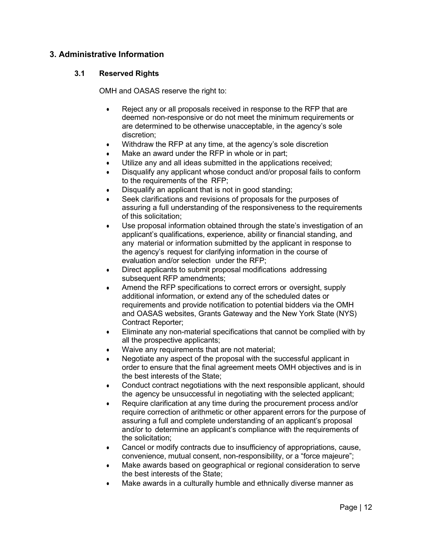## <span id="page-11-0"></span>**3. Administrative Information**

## <span id="page-11-1"></span>**3.1 Reserved Rights**

OMH and OASAS reserve the right to:

- Reject any or all proposals received in response to the RFP that are deemed non-responsive or do not meet the minimum requirements or are determined to be otherwise unacceptable, in the agency's sole discretion;
- Withdraw the RFP at any time, at the agency's sole discretion
- Make an award under the RFP in whole or in part;
- Utilize any and all ideas submitted in the applications received;
- Disqualify any applicant whose conduct and/or proposal fails to conform to the requirements of the RFP;
- Disqualify an applicant that is not in good standing;
- Seek clarifications and revisions of proposals for the purposes of assuring a full understanding of the responsiveness to the requirements of this solicitation;
- Use proposal information obtained through the state's investigation of an applicant's qualifications, experience, ability or financial standing, and any material or information submitted by the applicant in response to the agency's request for clarifying information in the course of evaluation and/or selection under the RFP;
- Direct applicants to submit proposal modifications addressing subsequent RFP amendments;
- Amend the RFP specifications to correct errors or oversight, supply additional information, or extend any of the scheduled dates or requirements and provide notification to potential bidders via the OMH and OASAS websites, Grants Gateway and the New York State (NYS) Contract Reporter;
- Eliminate any non-material specifications that cannot be complied with by all the prospective applicants;
- Waive any requirements that are not material;
- Negotiate any aspect of the proposal with the successful applicant in order to ensure that the final agreement meets OMH objectives and is in the best interests of the State;
- Conduct contract negotiations with the next responsible applicant, should the agency be unsuccessful in negotiating with the selected applicant;
- Require clarification at any time during the procurement process and/or require correction of arithmetic or other apparent errors for the purpose of assuring a full and complete understanding of an applicant's proposal and/or to determine an applicant's compliance with the requirements of the solicitation;
- Cancel or modify contracts due to insufficiency of appropriations, cause, convenience, mutual consent, non-responsibility, or a "force majeure";
- Make awards based on geographical or regional consideration to serve the best interests of the State;
- Make awards in a culturally humble and ethnically diverse manner as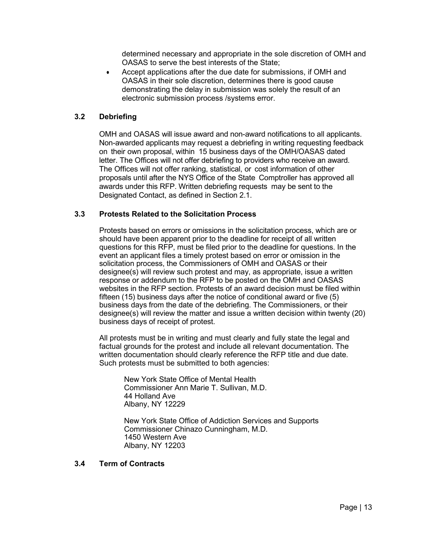determined necessary and appropriate in the sole discretion of OMH and OASAS to serve the best interests of the State;

• Accept applications after the due date for submissions, if OMH and OASAS in their sole discretion, determines there is good cause demonstrating the delay in submission was solely the result of an electronic submission process /systems error.

## <span id="page-12-0"></span>**3.2 Debriefing**

OMH and OASAS will issue award and non-award notifications to all applicants. Non-awarded applicants may request a debriefing in writing requesting feedback on their own proposal, within 15 business days of the OMH/OASAS dated letter. The Offices will not offer debriefing to providers who receive an award. The Offices will not offer ranking, statistical, or cost information of other proposals until after the NYS Office of the State Comptroller has approved all awards under this RFP. Written debriefing requests may be sent to the Designated Contact, as defined in Section 2.1.

#### <span id="page-12-1"></span>**3.3 Protests Related to the Solicitation Process**

Protests based on errors or omissions in the solicitation process, which are or should have been apparent prior to the deadline for receipt of all written questions for this RFP, must be filed prior to the deadline for questions. In the event an applicant files a timely protest based on error or omission in the solicitation process, the Commissioners of OMH and OASAS or their designee(s) will review such protest and may, as appropriate, issue a written response or addendum to the RFP to be posted on the OMH and OASAS websites in the RFP section. Protests of an award decision must be filed within fifteen (15) business days after the notice of conditional award or five (5) business days from the date of the debriefing. The Commissioners, or their designee(s) will review the matter and issue a written decision within twenty (20) business days of receipt of protest.

All protests must be in writing and must clearly and fully state the legal and factual grounds for the protest and include all relevant documentation. The written documentation should clearly reference the RFP title and due date. Such protests must be submitted to both agencies:

New York State Office of Mental Health Commissioner Ann Marie T. Sullivan, M.D. 44 Holland Ave Albany, NY 12229

New York State Office of Addiction Services and Supports Commissioner Chinazo Cunningham, M.D. 1450 Western Ave Albany, NY 12203

#### <span id="page-12-2"></span>**3.4 Term of Contracts**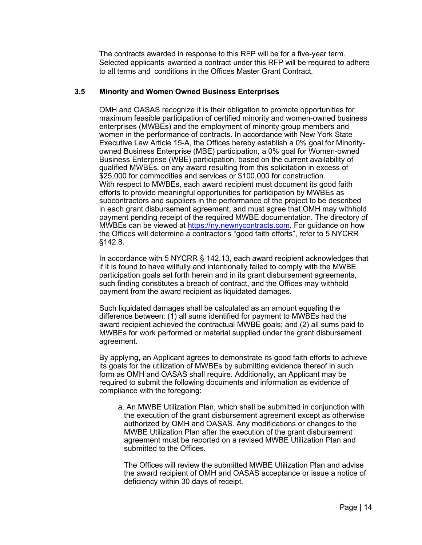The contracts awarded in response to this RFP will be for a five-year term. Selected applicants awarded a contract under this RFP will be required to adhere to all terms and conditions in the Offices Master Grant Contract.

#### <span id="page-13-0"></span>**3.5 Minority and Women Owned Business Enterprises**

OMH and OASAS recognize it is their obligation to promote opportunities for maximum feasible participation of certified minority and women-owned business enterprises (MWBEs) and the employment of minority group members and women in the performance of contracts. In accordance with New York State Executive Law Article 15-A, the Offices hereby establish a 0% goal for Minorityowned Business Enterprise (MBE) participation, a 0% goal for Women-owned Business Enterprise (WBE) participation, based on the current availability of qualified MWBEs, on any award resulting from this solicitation in excess of \$25,000 for commodities and services or \$100,000 for construction. With respect to MWBEs, each award recipient must document its good faith efforts to provide meaningful opportunities for participation by MWBEs as subcontractors and suppliers in the performance of the project to be described in each grant disbursement agreement, and must agree that OMH may withhold payment pending receipt of the required MWBE documentation. The directory of MWBEs can be viewed at [https://ny.newnycontracts.com.](https://ny.newnycontracts.com/) For guidance on how the Offices will determine a contractor's "good faith efforts", refer to 5 NYCRR §142.8.

In accordance with 5 NYCRR § 142.13, each award recipient acknowledges that if it is found to have willfully and intentionally failed to comply with the MWBE participation goals set forth herein and in its grant disbursement agreements, such finding constitutes a breach of contract, and the Offices may withhold payment from the award recipient as liquidated damages.

Such liquidated damages shall be calculated as an amount equaling the difference between: (1) all sums identified for payment to MWBEs had the award recipient achieved the contractual MWBE goals; and (2) all sums paid to MWBEs for work performed or material supplied under the grant disbursement agreement.

By applying, an Applicant agrees to demonstrate its good faith efforts to achieve its goals for the utilization of MWBEs by submitting evidence thereof in such form as OMH and OASAS shall require. Additionally, an Applicant may be required to submit the following documents and information as evidence of compliance with the foregoing:

a. An MWBE Utilization Plan, which shall be submitted in conjunction with the execution of the grant disbursement agreement except as otherwise authorized by OMH and OASAS. Any modifications or changes to the MWBE Utilization Plan after the execution of the grant disbursement agreement must be reported on a revised MWBE Utilization Plan and submitted to the Offices.

The Offices will review the submitted MWBE Utilization Plan and advise the award recipient of OMH and OASAS acceptance or issue a notice of deficiency within 30 days of receipt.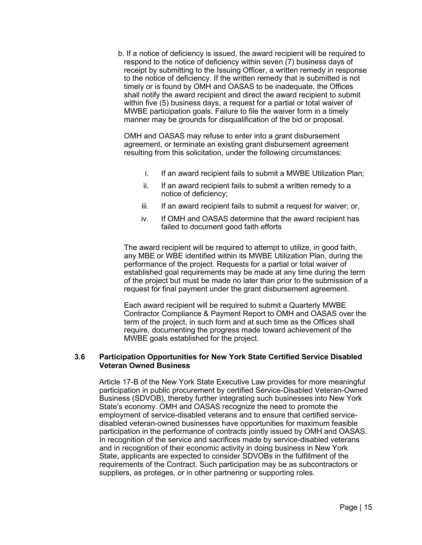b. If a notice of deficiency is issued, the award recipient will be required to respond to the notice of deficiency within seven (7) business days of receipt by submitting to the Issuing Officer, a written remedy in response to the notice of deficiency. If the written remedy that is submitted is not timely or is found by OMH and OASAS to be inadequate, the Offices shall notify the award recipient and direct the award recipient to submit within five (5) business days, a request for a partial or total waiver of MWBE participation goals. Failure to file the waiver form in a timely manner may be grounds for disqualification of the bid or proposal.

OMH and OASAS may refuse to enter into a grant disbursement agreement, or terminate an existing grant disbursement agreement resulting from this solicitation, under the following circumstances:

- i. If an award recipient fails to submit a MWBE Utilization Plan;
- ii. If an award recipient fails to submit a written remedy to a notice of deficiency;
- iii. If an award recipient fails to submit a request for waiver; or,
- iv. If OMH and OASAS determine that the award recipient has failed to document good faith efforts

The award recipient will be required to attempt to utilize, in good faith, any MBE or WBE identified within its MWBE Utilization Plan, during the performance of the project. Requests for a partial or total waiver of established goal requirements may be made at any time during the term of the project but must be made no later than prior to the submission of a request for final payment under the grant disbursement agreement.

Each award recipient will be required to submit a Quarterly MWBE Contractor Compliance & Payment Report to OMH and OASAS over the term of the project, in such form and at such time as the Offices shall require, documenting the progress made toward achievement of the MWBE goals established for the project.

## <span id="page-14-0"></span>**3.6 Participation Opportunities for New York State Certified Service Disabled Veteran Owned Business**

Article 17-B of the New York State Executive Law provides for more meaningful participation in public procurement by certified Service-Disabled Veteran-Owned Business (SDVOB), thereby further integrating such businesses into New York State's economy. OMH and OASAS recognize the need to promote the employment of service-disabled veterans and to ensure that certified servicedisabled veteran-owned businesses have opportunities for maximum feasible participation in the performance of contracts jointly issued by OMH and OASAS. In recognition of the service and sacrifices made by service-disabled veterans and in recognition of their economic activity in doing business in New York State, applicants are expected to consider SDVOBs in the fulfillment of the requirements of the Contract. Such participation may be as subcontractors or suppliers, as proteges, or in other partnering or supporting roles.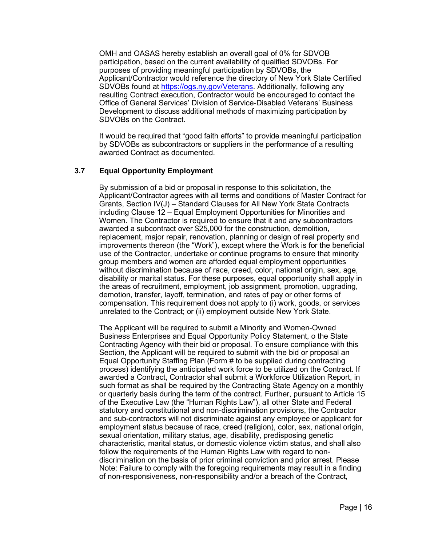OMH and OASAS hereby establish an overall goal of 0% for SDVOB participation, based on the current availability of qualified SDVOBs. For purposes of providing meaningful participation by SDVOBs, the Applicant/Contractor would reference the directory of New York State Certified SDVOBs found at [https://ogs.ny.gov/Veterans.](https://ogs.ny.gov/Veterans) Additionally, following any resulting Contract execution, Contractor would be encouraged to contact the Office of General Services' Division of Service-Disabled Veterans' Business Development to discuss additional methods of maximizing participation by SDVOBs on the Contract.

It would be required that "good faith efforts" to provide meaningful participation by SDVOBs as subcontractors or suppliers in the performance of a resulting awarded Contract as documented.

## <span id="page-15-0"></span>**3.7 Equal Opportunity Employment**

By submission of a bid or proposal in response to this solicitation, the Applicant/Contractor agrees with all terms and conditions of Master Contract for Grants, Section IV(J) – Standard Clauses for All New York State Contracts including Clause 12 – Equal Employment Opportunities for Minorities and Women. The Contractor is required to ensure that it and any subcontractors awarded a subcontract over \$25,000 for the construction, demolition, replacement, major repair, renovation, planning or design of real property and improvements thereon (the "Work"), except where the Work is for the beneficial use of the Contractor, undertake or continue programs to ensure that minority group members and women are afforded equal employment opportunities without discrimination because of race, creed, color, national origin, sex, age, disability or marital status. For these purposes, equal opportunity shall apply in the areas of recruitment, employment, job assignment, promotion, upgrading, demotion, transfer, layoff, termination, and rates of pay or other forms of compensation. This requirement does not apply to (i) work, goods, or services unrelated to the Contract; or (ii) employment outside New York State.

The Applicant will be required to submit a Minority and Women-Owned Business Enterprises and Equal Opportunity Policy Statement, o the State Contracting Agency with their bid or proposal. To ensure compliance with this Section, the Applicant will be required to submit with the bid or proposal an Equal Opportunity Staffing Plan (Form # to be supplied during contracting process) identifying the anticipated work force to be utilized on the Contract. If awarded a Contract, Contractor shall submit a Workforce Utilization Report, in such format as shall be required by the Contracting State Agency on a monthly or quarterly basis during the term of the contract. Further, pursuant to Article 15 of the Executive Law (the "Human Rights Law"), all other State and Federal statutory and constitutional and non-discrimination provisions, the Contractor and sub-contractors will not discriminate against any employee or applicant for employment status because of race, creed (religion), color, sex, national origin, sexual orientation, military status, age, disability, predisposing genetic characteristic, marital status, or domestic violence victim status, and shall also follow the requirements of the Human Rights Law with regard to nondiscrimination on the basis of prior criminal conviction and prior arrest. Please Note: Failure to comply with the foregoing requirements may result in a finding of non-responsiveness, non-responsibility and/or a breach of the Contract,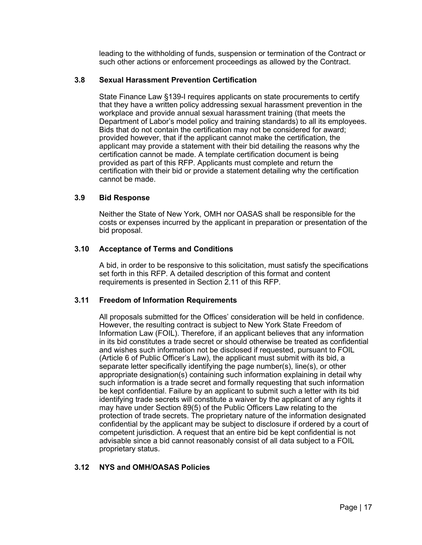leading to the withholding of funds, suspension or termination of the Contract or such other actions or enforcement proceedings as allowed by the Contract.

## <span id="page-16-0"></span>**3.8 Sexual Harassment Prevention Certification**

State Finance Law §139-I requires applicants on state procurements to certify that they have a written policy addressing sexual harassment prevention in the workplace and provide annual sexual harassment training (that meets the Department of Labor's model policy and training standards) to all its employees. Bids that do not contain the certification may not be considered for award; provided however, that if the applicant cannot make the certification, the applicant may provide a statement with their bid detailing the reasons why the certification cannot be made. A template certification document is being provided as part of this RFP. Applicants must complete and return the certification with their bid or provide a statement detailing why the certification cannot be made.

## <span id="page-16-1"></span>**3.9 Bid Response**

Neither the State of New York, OMH nor OASAS shall be responsible for the costs or expenses incurred by the applicant in preparation or presentation of the bid proposal.

## <span id="page-16-2"></span>**3.10 Acceptance of Terms and Conditions**

A bid, in order to be responsive to this solicitation, must satisfy the specifications set forth in this RFP. A detailed description of this format and content requirements is presented in Section 2.11 of this RFP.

## <span id="page-16-3"></span>**3.11 Freedom of Information Requirements**

All proposals submitted for the Offices' consideration will be held in confidence. However, the resulting contract is subject to New York State Freedom of Information Law (FOIL). Therefore, if an applicant believes that any information in its bid constitutes a trade secret or should otherwise be treated as confidential and wishes such information not be disclosed if requested, pursuant to FOIL (Article 6 of Public Officer's Law), the applicant must submit with its bid, a separate letter specifically identifying the page number(s), line(s), or other appropriate designation(s) containing such information explaining in detail why such information is a trade secret and formally requesting that such information be kept confidential. Failure by an applicant to submit such a letter with its bid identifying trade secrets will constitute a waiver by the applicant of any rights it may have under Section 89(5) of the Public Officers Law relating to the protection of trade secrets. The proprietary nature of the information designated confidential by the applicant may be subject to disclosure if ordered by a court of competent jurisdiction. A request that an entire bid be kept confidential is not advisable since a bid cannot reasonably consist of all data subject to a FOIL proprietary status.

## <span id="page-16-4"></span>**3.12 NYS and OMH/OASAS Policies**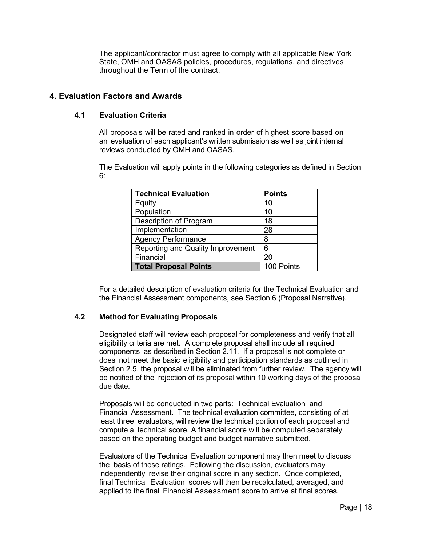The applicant/contractor must agree to comply with all applicable New York State, OMH and OASAS policies, procedures, regulations, and directives throughout the Term of the contract.

## <span id="page-17-1"></span><span id="page-17-0"></span>**4. Evaluation Factors and Awards**

## **4.1 Evaluation Criteria**

All proposals will be rated and ranked in order of highest score based on an evaluation of each applicant's written submission as well as joint internal reviews conducted by OMH and OASAS.

The Evaluation will apply points in the following categories as defined in Section 6:

| <b>Technical Evaluation</b>              | <b>Points</b> |
|------------------------------------------|---------------|
| Equity                                   | 10            |
| Population                               | 10            |
| Description of Program                   | 18            |
| Implementation                           | 28            |
| <b>Agency Performance</b>                | 8             |
| <b>Reporting and Quality Improvement</b> | 6             |
| Financial                                | 20            |
| <b>Total Proposal Points</b>             | 100 Points    |

For a detailed description of evaluation criteria for the Technical Evaluation and the Financial Assessment components, see Section 6 (Proposal Narrative).

## <span id="page-17-2"></span>**4.2 Method for Evaluating Proposals**

Designated staff will review each proposal for completeness and verify that all eligibility criteria are met. A complete proposal shall include all required components as described in Section 2.11. If a proposal is not complete or does not meet the basic eligibility and participation standards as outlined in Section 2.5, the proposal will be eliminated from further review. The agency will be notified of the rejection of its proposal within 10 working days of the proposal due date.

Proposals will be conducted in two parts: Technical Evaluation and Financial Assessment. The technical evaluation committee, consisting of at least three evaluators, will review the technical portion of each proposal and compute a technical score. A financial score will be computed separately based on the operating budget and budget narrative submitted.

Evaluators of the Technical Evaluation component may then meet to discuss the basis of those ratings. Following the discussion, evaluators may independently revise their original score in any section. Once completed, final Technical Evaluation scores will then be recalculated, averaged, and applied to the final Financial Assessment score to arrive at final scores.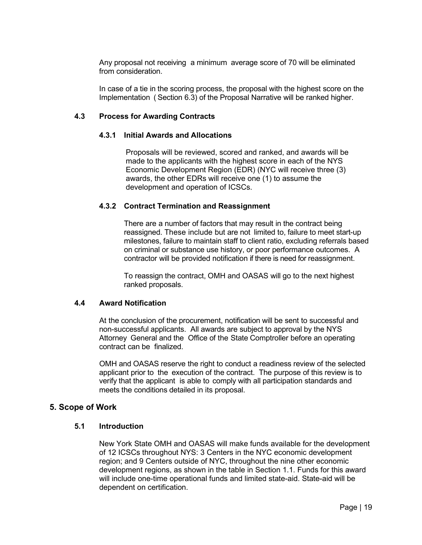Any proposal not receiving a minimum average score of 70 will be eliminated from consideration.

In case of a tie in the scoring process, the proposal with the highest score on the Implementation ( Section 6.3) of the Proposal Narrative will be ranked higher.

#### <span id="page-18-0"></span>**4.3 Process for Awarding Contracts**

#### <span id="page-18-1"></span> **4.3.1 Initial Awards and Allocations**

Proposals will be reviewed, scored and ranked, and awards will be made to the applicants with the highest score in each of the NYS Economic Development Region (EDR) (NYC will receive three (3) awards, the other EDRs will receive one (1) to assume the development and operation of ICSCs.

#### <span id="page-18-2"></span>**4.3.2 Contract Termination and Reassignment**

There are a number of factors that may result in the contract being reassigned. These include but are not limited to, failure to meet start-up milestones, failure to maintain staff to client ratio, excluding referrals based on criminal or substance use history, or poor performance outcomes. A contractor will be provided notification if there is need for reassignment.

To reassign the contract, OMH and OASAS will go to the next highest ranked proposals.

#### <span id="page-18-3"></span>**4.4 Award Notification**

At the conclusion of the procurement, notification will be sent to successful and non-successful applicants. All awards are subject to approval by the NYS Attorney General and the Office of the State Comptroller before an operating contract can be finalized.

OMH and OASAS reserve the right to conduct a readiness review of the selected applicant prior to the execution of the contract. The purpose of this review is to verify that the applicant is able to comply with all participation standards and meets the conditions detailed in its proposal.

## <span id="page-18-4"></span>**5. Scope of Work**

#### <span id="page-18-5"></span>**5.1 Introduction**

New York State OMH and OASAS will make funds available for the development of 12 ICSCs throughout NYS: 3 Centers in the NYC economic development region; and 9 Centers outside of NYC, throughout the nine other economic development regions, as shown in the table in Section 1.1. Funds for this award will include one-time operational funds and limited state-aid. State-aid will be dependent on certification.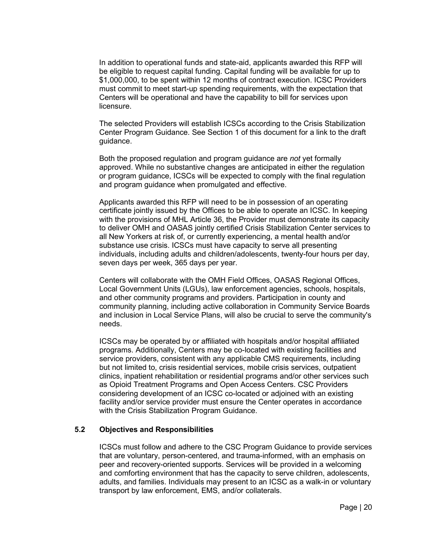In addition to operational funds and state-aid, applicants awarded this RFP will be eligible to request capital funding. Capital funding will be available for up to \$1,000,000, to be spent within 12 months of contract execution. ICSC Providers must commit to meet start-up spending requirements, with the expectation that Centers will be operational and have the capability to bill for services upon licensure.

The selected Providers will establish ICSCs according to the Crisis Stabilization Center Program Guidance. See Section 1 of this document for a link to the draft guidance.

Both the proposed regulation and program guidance are *not* yet formally approved. While no substantive changes are anticipated in either the regulation or program guidance, ICSCs will be expected to comply with the final regulation and program guidance when promulgated and effective.

Applicants awarded this RFP will need to be in possession of an operating certificate jointly issued by the Offices to be able to operate an ICSC. In keeping with the provisions of MHL Article 36, the Provider must demonstrate its capacity to deliver OMH and OASAS jointly certified Crisis Stabilization Center services to all New Yorkers at risk of, or currently experiencing, a mental health and/or substance use crisis. ICSCs must have capacity to serve all presenting individuals, including adults and children/adolescents, twenty-four hours per day, seven days per week, 365 days per year.

Centers will collaborate with the OMH Field Offices, OASAS Regional Offices, Local Government Units (LGUs), law enforcement agencies, schools, hospitals, and other community programs and providers. Participation in county and community planning, including active collaboration in Community Service Boards and inclusion in Local Service Plans, will also be crucial to serve the community's needs.

ICSCs may be operated by or affiliated with hospitals and/or hospital affiliated programs. Additionally, Centers may be co-located with existing facilities and service providers, consistent with any applicable CMS requirements, including but not limited to, crisis residential services, mobile crisis services, outpatient clinics, inpatient rehabilitation or residential programs and/or other services such as Opioid Treatment Programs and Open Access Centers. CSC Providers considering development of an ICSC co-located or adjoined with an existing facility and/or service provider must ensure the Center operates in accordance with the Crisis Stabilization Program Guidance.

## <span id="page-19-0"></span>**5.2 Objectives and Responsibilities**

ICSCs must follow and adhere to the CSC Program Guidance to provide services that are voluntary, person-centered, and trauma-informed, with an emphasis on peer and recovery-oriented supports. Services will be provided in a welcoming and comforting environment that has the capacity to serve children, adolescents, adults, and families. Individuals may present to an ICSC as a walk-in or voluntary transport by law enforcement, EMS, and/or collaterals.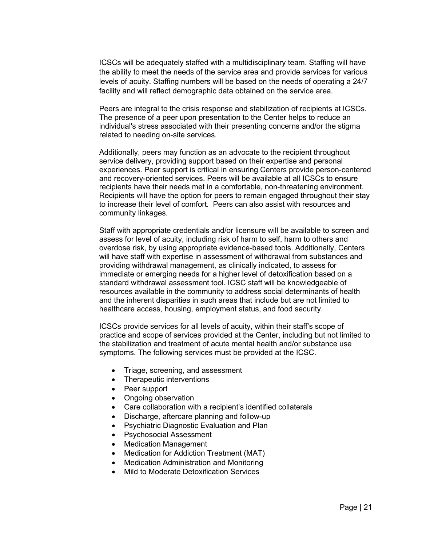ICSCs will be adequately staffed with a multidisciplinary team. Staffing will have the ability to meet the needs of the service area and provide services for various levels of acuity. Staffing numbers will be based on the needs of operating a 24/7 facility and will reflect demographic data obtained on the service area.

Peers are integral to the crisis response and stabilization of recipients at ICSCs. The presence of a peer upon presentation to the Center helps to reduce an individual's stress associated with their presenting concerns and/or the stigma related to needing on-site services.

Additionally, peers may function as an advocate to the recipient throughout service delivery, providing support based on their expertise and personal experiences. Peer support is critical in ensuring Centers provide person-centered and recovery-oriented services. Peers will be available at all ICSCs to ensure recipients have their needs met in a comfortable, non-threatening environment. Recipients will have the option for peers to remain engaged throughout their stay to increase their level of comfort. Peers can also assist with resources and community linkages.

Staff with appropriate credentials and/or licensure will be available to screen and assess for level of acuity, including risk of harm to self, harm to others and overdose risk, by using appropriate evidence-based tools. Additionally, Centers will have staff with expertise in assessment of withdrawal from substances and providing withdrawal management, as clinically indicated, to assess for immediate or emerging needs for a higher level of detoxification based on a standard withdrawal assessment tool. ICSC staff will be knowledgeable of resources available in the community to address social determinants of health and the inherent disparities in such areas that include but are not limited to healthcare access, housing, employment status, and food security.

ICSCs provide services for all levels of acuity, within their staff's scope of practice and scope of services provided at the Center, including but not limited to the stabilization and treatment of acute mental health and/or substance use symptoms. The following services must be provided at the ICSC.

- Triage, screening, and assessment
- Therapeutic interventions
- Peer support
- Ongoing observation
- Care collaboration with a recipient's identified collaterals
- Discharge, aftercare planning and follow-up
- Psychiatric Diagnostic Evaluation and Plan
- Psychosocial Assessment
- Medication Management
- Medication for Addiction Treatment (MAT)
- Medication Administration and Monitoring
- Mild to Moderate Detoxification Services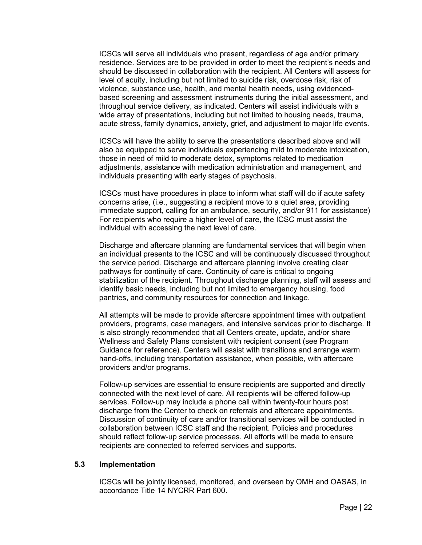ICSCs will serve all individuals who present, regardless of age and/or primary residence. Services are to be provided in order to meet the recipient's needs and should be discussed in collaboration with the recipient. All Centers will assess for level of acuity, including but not limited to suicide risk, overdose risk, risk of violence, substance use, health, and mental health needs, using evidencedbased screening and assessment instruments during the initial assessment, and throughout service delivery, as indicated. Centers will assist individuals with a wide array of presentations, including but not limited to housing needs, trauma, acute stress, family dynamics, anxiety, grief, and adjustment to major life events.

ICSCs will have the ability to serve the presentations described above and will also be equipped to serve individuals experiencing mild to moderate intoxication, those in need of mild to moderate detox, symptoms related to medication adjustments, assistance with medication administration and management, and individuals presenting with early stages of psychosis.

ICSCs must have procedures in place to inform what staff will do if acute safety concerns arise, (i.e., suggesting a recipient move to a quiet area, providing immediate support, calling for an ambulance, security, and/or 911 for assistance) For recipients who require a higher level of care, the ICSC must assist the individual with accessing the next level of care.

Discharge and aftercare planning are fundamental services that will begin when an individual presents to the ICSC and will be continuously discussed throughout the service period. Discharge and aftercare planning involve creating clear pathways for continuity of care. Continuity of care is critical to ongoing stabilization of the recipient. Throughout discharge planning, staff will assess and identify basic needs, including but not limited to emergency housing, food pantries, and community resources for connection and linkage.

All attempts will be made to provide aftercare appointment times with outpatient providers, programs, case managers, and intensive services prior to discharge. It is also strongly recommended that all Centers create, update, and/or share Wellness and Safety Plans consistent with recipient consent (see Program Guidance for reference). Centers will assist with transitions and arrange warm hand-offs, including transportation assistance, when possible, with aftercare providers and/or programs.

Follow-up services are essential to ensure recipients are supported and directly connected with the next level of care. All recipients will be offered follow-up services. Follow-up may include a phone call within twenty-four hours post discharge from the Center to check on referrals and aftercare appointments. Discussion of continuity of care and/or transitional services will be conducted in collaboration between ICSC staff and the recipient. Policies and procedures should reflect follow-up service processes. All efforts will be made to ensure recipients are connected to referred services and supports.

#### <span id="page-21-0"></span>**5.3 Implementation**

ICSCs will be jointly licensed, monitored, and overseen by OMH and OASAS, in accordance Title 14 NYCRR Part 600.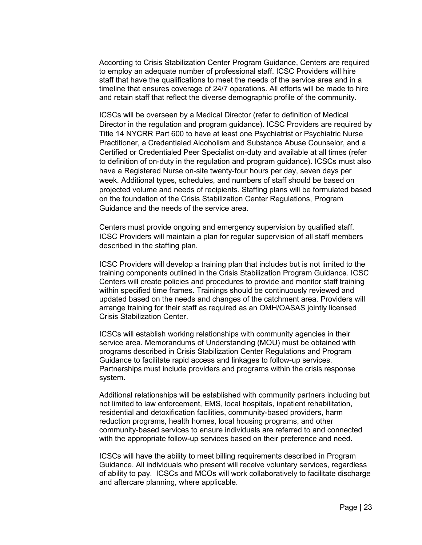According to Crisis Stabilization Center Program Guidance, Centers are required to employ an adequate number of professional staff. ICSC Providers will hire staff that have the qualifications to meet the needs of the service area and in a timeline that ensures coverage of 24/7 operations. All efforts will be made to hire and retain staff that reflect the diverse demographic profile of the community.

ICSCs will be overseen by a Medical Director (refer to definition of Medical Director in the regulation and program guidance). ICSC Providers are required by Title 14 NYCRR Part 600 to have at least one Psychiatrist or Psychiatric Nurse Practitioner, a Credentialed Alcoholism and Substance Abuse Counselor, and a Certified or Credentialed Peer Specialist on-duty and available at all times (refer to definition of on-duty in the regulation and program guidance). ICSCs must also have a Registered Nurse on-site twenty-four hours per day, seven days per week. Additional types, schedules, and numbers of staff should be based on projected volume and needs of recipients. Staffing plans will be formulated based on the foundation of the Crisis Stabilization Center Regulations, Program Guidance and the needs of the service area.

Centers must provide ongoing and emergency supervision by qualified staff. ICSC Providers will maintain a plan for regular supervision of all staff members described in the staffing plan.

ICSC Providers will develop a training plan that includes but is not limited to the training components outlined in the Crisis Stabilization Program Guidance. ICSC Centers will create policies and procedures to provide and monitor staff training within specified time frames. Trainings should be continuously reviewed and updated based on the needs and changes of the catchment area. Providers will arrange training for their staff as required as an OMH/OASAS jointly licensed Crisis Stabilization Center.

ICSCs will establish working relationships with community agencies in their service area. Memorandums of Understanding (MOU) must be obtained with programs described in Crisis Stabilization Center Regulations and Program Guidance to facilitate rapid access and linkages to follow-up services. Partnerships must include providers and programs within the crisis response system.

Additional relationships will be established with community partners including but not limited to law enforcement, EMS, local hospitals, inpatient rehabilitation, residential and detoxification facilities, community-based providers, harm reduction programs, health homes, local housing programs, and other community-based services to ensure individuals are referred to and connected with the appropriate follow-up services based on their preference and need.

ICSCs will have the ability to meet billing requirements described in Program Guidance. All individuals who present will receive voluntary services, regardless of ability to pay. ICSCs and MCOs will work collaboratively to facilitate discharge and aftercare planning, where applicable.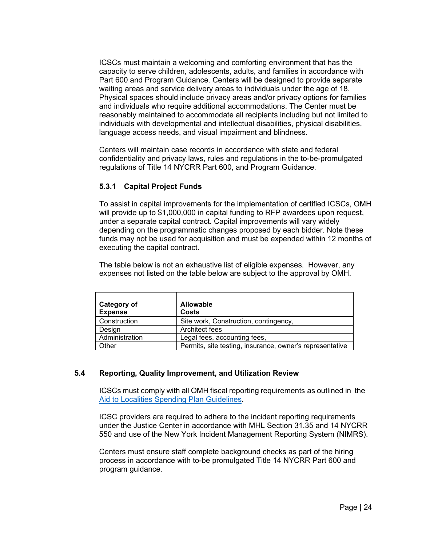ICSCs must maintain a welcoming and comforting environment that has the capacity to serve children, adolescents, adults, and families in accordance with Part 600 and Program Guidance. Centers will be designed to provide separate waiting areas and service delivery areas to individuals under the age of 18. Physical spaces should include privacy areas and/or privacy options for families and individuals who require additional accommodations. The Center must be reasonably maintained to accommodate all recipients including but not limited to individuals with developmental and intellectual disabilities, physical disabilities, language access needs, and visual impairment and blindness.

Centers will maintain case records in accordance with state and federal confidentiality and privacy laws, rules and regulations in the to-be-promulgated regulations of Title 14 NYCRR Part 600, and Program Guidance.

## <span id="page-23-0"></span>**5.3.1 Capital Project Funds**

To assist in capital improvements for the implementation of certified ICSCs, OMH will provide up to \$1,000,000 in capital funding to RFP awardees upon request, under a separate capital contract. Capital improvements will vary widely depending on the programmatic changes proposed by each bidder. Note these funds may not be used for acquisition and must be expended within 12 months of executing the capital contract.

The table below is not an exhaustive list of eligible expenses. However, any expenses not listed on the table below are subject to the approval by OMH.

| Category of<br><b>Expense</b> | <b>Allowable</b><br>Costs                                |
|-------------------------------|----------------------------------------------------------|
| Construction                  | Site work, Construction, contingency,                    |
| Desian                        | Architect fees                                           |
| Administration                | Legal fees, accounting fees,                             |
| Other                         | Permits, site testing, insurance, owner's representative |

## <span id="page-23-1"></span>**5.4 Reporting, Quality Improvement, and Utilization Review**

ICSCs must comply with all OMH fiscal reporting requirements as outlined in the [Aid to Localities Spending Plan Guidelines.](https://apps.omh.ny.gov/omhweb/spguidelines/selectcontract.asp)

ICSC providers are required to adhere to the incident reporting requirements under the Justice Center in accordance with MHL Section 31.35 and 14 NYCRR 550 and use of the New York Incident Management Reporting System (NIMRS).

Centers must ensure staff complete background checks as part of the hiring process in accordance with to-be promulgated Title 14 NYCRR Part 600 and program guidance.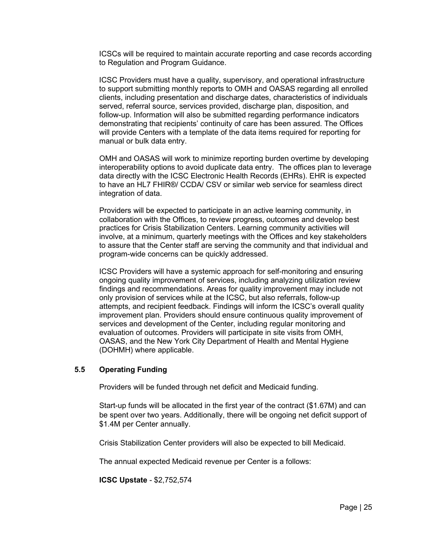ICSCs will be required to maintain accurate reporting and case records according to Regulation and Program Guidance.

ICSC Providers must have a quality, supervisory, and operational infrastructure to support submitting monthly reports to OMH and OASAS regarding all enrolled clients, including presentation and discharge dates, characteristics of individuals served, referral source, services provided, discharge plan, disposition, and follow-up. Information will also be submitted regarding performance indicators demonstrating that recipients' continuity of care has been assured. The Offices will provide Centers with a template of the data items required for reporting for manual or bulk data entry.

OMH and OASAS will work to minimize reporting burden overtime by developing interoperability options to avoid duplicate data entry. The offices plan to leverage data directly with the ICSC Electronic Health Records (EHRs). EHR is expected to have an HL7 FHIR®/ CCDA/ CSV or similar web service for seamless direct integration of data.

Providers will be expected to participate in an active learning community, in collaboration with the Offices, to review progress, outcomes and develop best practices for Crisis Stabilization Centers. Learning community activities will involve, at a minimum, quarterly meetings with the Offices and key stakeholders to assure that the Center staff are serving the community and that individual and program-wide concerns can be quickly addressed.

ICSC Providers will have a systemic approach for self-monitoring and ensuring ongoing quality improvement of services, including analyzing utilization review findings and recommendations. Areas for quality improvement may include not only provision of services while at the ICSC, but also referrals, follow-up attempts, and recipient feedback. Findings will inform the ICSC's overall quality improvement plan. Providers should ensure continuous quality improvement of services and development of the Center, including regular monitoring and evaluation of outcomes. Providers will participate in site visits from OMH, OASAS, and the New York City Department of Health and Mental Hygiene (DOHMH) where applicable.

#### <span id="page-24-0"></span>**5.5 Operating Funding**

Providers will be funded through net deficit and Medicaid funding.

Start-up funds will be allocated in the first year of the contract (\$1.67M) and can be spent over two years. Additionally, there will be ongoing net deficit support of \$1.4M per Center annually.

Crisis Stabilization Center providers will also be expected to bill Medicaid.

The annual expected Medicaid revenue per Center is a follows:

**ICSC Upstate** - \$2,752,574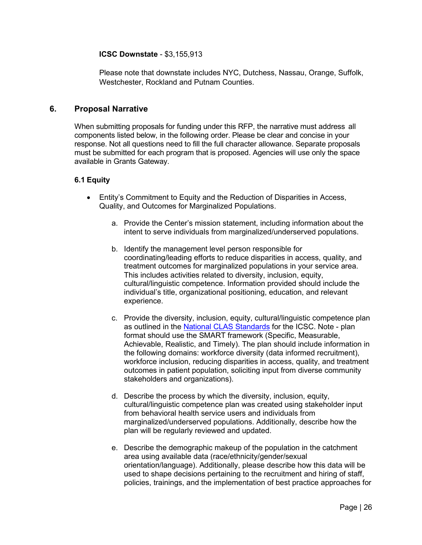#### **ICSC Downstate** - \$3,155,913

Please note that downstate includes NYC, Dutchess, Nassau, Orange, Suffolk, Westchester, Rockland and Putnam Counties.

## <span id="page-25-0"></span>**6. Proposal Narrative**

When submitting proposals for funding under this RFP, the narrative must address all components listed below, in the following order. Please be clear and concise in your response. Not all questions need to fill the full character allowance. Separate proposals must be submitted for each program that is proposed. Agencies will use only the space available in Grants Gateway.

#### <span id="page-25-1"></span>**6.1 Equity**

- Entity's Commitment to Equity and the Reduction of Disparities in Access, Quality, and Outcomes for Marginalized Populations.
	- a. Provide the Center's mission statement, including information about the intent to serve individuals from marginalized/underserved populations.
	- b. Identify the management level person responsible for coordinating/leading efforts to reduce disparities in access, quality, and treatment outcomes for marginalized populations in your service area. This includes activities related to diversity, inclusion, equity, cultural/linguistic competence. Information provided should include the individual's title, organizational positioning, education, and relevant experience.
	- c. Provide the diversity, inclusion, equity, cultural/linguistic competence plan as outlined in the [National CLAS Standards](https://thinkculturalhealth.hhs.gov/clas) for the ICSC. Note - plan format should use the SMART framework (Specific, Measurable, Achievable, Realistic, and Timely). The plan should include information in the following domains: workforce diversity (data informed recruitment), workforce inclusion, reducing disparities in access, quality, and treatment outcomes in patient population, soliciting input from diverse community stakeholders and organizations).
	- d. Describe the process by which the diversity, inclusion, equity, cultural/linguistic competence plan was created using stakeholder input from behavioral health service users and individuals from marginalized/underserved populations. Additionally, describe how the plan will be regularly reviewed and updated.
	- e. Describe the demographic makeup of the population in the catchment area using available data (race/ethnicity/gender/sexual orientation/language). Additionally, please describe how this data will be used to shape decisions pertaining to the recruitment and hiring of staff, policies, trainings, and the implementation of best practice approaches for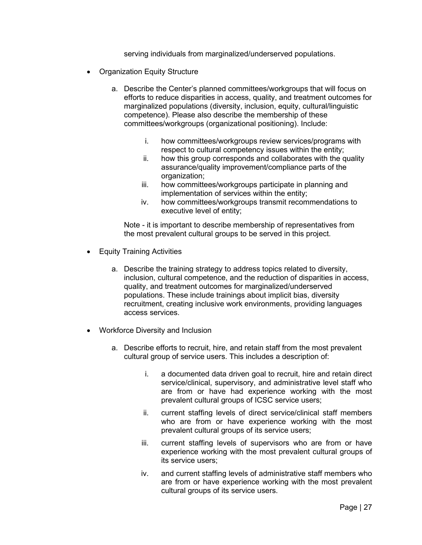serving individuals from marginalized/underserved populations.

- Organization Equity Structure
	- a. Describe the Center's planned committees/workgroups that will focus on efforts to reduce disparities in access, quality, and treatment outcomes for marginalized populations (diversity, inclusion, equity, cultural/linguistic competence). Please also describe the membership of these committees/workgroups (organizational positioning). Include:
		- i. how committees/workgroups review services/programs with respect to cultural competency issues within the entity;
		- ii. how this group corresponds and collaborates with the quality assurance/quality improvement/compliance parts of the organization;
		- iii. how committees/workgroups participate in planning and implementation of services within the entity;
		- iv. how committees/workgroups transmit recommendations to executive level of entity;

 Note - it is important to describe membership of representatives from the most prevalent cultural groups to be served in this project.

- Equity Training Activities
	- a. Describe the training strategy to address topics related to diversity, inclusion, cultural competence, and the reduction of disparities in access, quality, and treatment outcomes for marginalized/underserved populations. These include trainings about implicit bias, diversity recruitment, creating inclusive work environments, providing languages access services.
- Workforce Diversity and Inclusion
	- a. Describe efforts to recruit, hire, and retain staff from the most prevalent cultural group of service users. This includes a description of:
		- i. a documented data driven goal to recruit, hire and retain direct service/clinical, supervisory, and administrative level staff who are from or have had experience working with the most prevalent cultural groups of ICSC service users;
		- ii. current staffing levels of direct service/clinical staff members who are from or have experience working with the most prevalent cultural groups of its service users;
		- iii. current staffing levels of supervisors who are from or have experience working with the most prevalent cultural groups of its service users;
		- iv. and current staffing levels of administrative staff members who are from or have experience working with the most prevalent cultural groups of its service users.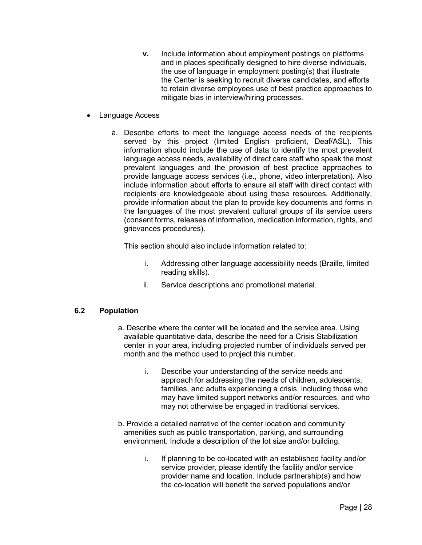- **v.** Include information about employment postings on platforms and in places specifically designed to hire diverse individuals, the use of language in employment posting(s) that illustrate the Center is seeking to recruit diverse candidates, and efforts to retain diverse employees use of best practice approaches to mitigate bias in interview/hiring processes.
- Language Access
	- a. Describe efforts to meet the language access needs of the recipients served by this project (limited English proficient, Deaf/ASL). This information should include the use of data to identify the most prevalent language access needs, availability of direct care staff who speak the most prevalent languages and the provision of best practice approaches to provide language access services (i.e., phone, video interpretation). Also include information about efforts to ensure all staff with direct contact with recipients are knowledgeable about using these resources. Additionally, provide information about the plan to provide key documents and forms in the languages of the most prevalent cultural groups of its service users (consent forms, releases of information, medication information, rights, and grievances procedures).

This section should also include information related to:

- i. Addressing other language accessibility needs (Braille, limited reading skills).
- ii. Service descriptions and promotional material.

## <span id="page-27-0"></span>**6.2 Population**

- a. Describe where the center will be located and the service area. Using available quantitative data, describe the need for a Crisis Stabilization center in your area, including projected number of individuals served per month and the method used to project this number.
	- i. Describe your understanding of the service needs and approach for addressing the needs of children, adolescents, families, and adults experiencing a crisis, including those who may have limited support networks and/or resources, and who may not otherwise be engaged in traditional services.
- b. Provide a detailed narrative of the center location and community amenities such as public transportation, parking, and surrounding environment. Include a description of the lot size and/or building.
	- i. If planning to be co-located with an established facility and/or service provider, please identify the facility and/or service provider name and location. Include partnership(s) and how the co-location will benefit the served populations and/or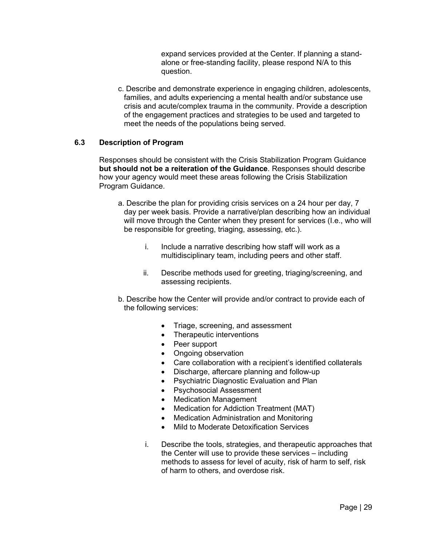expand services provided at the Center. If planning a standalone or free-standing facility, please respond N/A to this question.

c. Describe and demonstrate experience in engaging children, adolescents, families, and adults experiencing a mental health and/or substance use crisis and acute/complex trauma in the community. Provide a description of the engagement practices and strategies to be used and targeted to meet the needs of the populations being served.

#### <span id="page-28-0"></span>**6.3 Description of Program**

Responses should be consistent with the Crisis Stabilization Program Guidance **but should not be a reiteration of the Guidance**. Responses should describe how your agency would meet these areas following the Crisis Stabilization Program Guidance.

- a. Describe the plan for providing crisis services on a 24 hour per day, 7 day per week basis. Provide a narrative/plan describing how an individual will move through the Center when they present for services (I.e., who will be responsible for greeting, triaging, assessing, etc.).
	- i. Include a narrative describing how staff will work as a multidisciplinary team, including peers and other staff.
	- ii. Describe methods used for greeting, triaging/screening, and assessing recipients.
- b. Describe how the Center will provide and/or contract to provide each of the following services:
	- Triage, screening, and assessment
	- Therapeutic interventions
	- Peer support
	- Ongoing observation
	- Care collaboration with a recipient's identified collaterals
	- Discharge, aftercare planning and follow-up
	- Psychiatric Diagnostic Evaluation and Plan
	- Psychosocial Assessment
	- **Medication Management**
	- Medication for Addiction Treatment (MAT)
	- Medication Administration and Monitoring
	- Mild to Moderate Detoxification Services
	- i. Describe the tools, strategies, and therapeutic approaches that the Center will use to provide these services – including methods to assess for level of acuity, risk of harm to self, risk of harm to others, and overdose risk.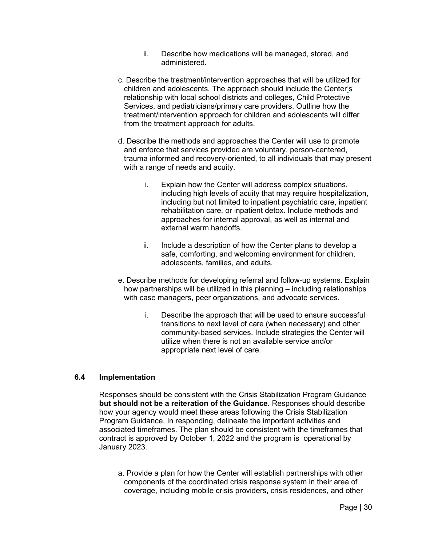- ii. Describe how medications will be managed, stored, and administered.
- c. Describe the treatment/intervention approaches that will be utilized for children and adolescents. The approach should include the Center's relationship with local school districts and colleges, Child Protective Services, and pediatricians/primary care providers. Outline how the treatment/intervention approach for children and adolescents will differ from the treatment approach for adults.
- d. Describe the methods and approaches the Center will use to promote and enforce that services provided are voluntary, person-centered, trauma informed and recovery-oriented, to all individuals that may present with a range of needs and acuity.
	- i. Explain how the Center will address complex situations, including high levels of acuity that may require hospitalization, including but not limited to inpatient psychiatric care, inpatient rehabilitation care, or inpatient detox. Include methods and approaches for internal approval, as well as internal and external warm handoffs.
	- ii. Include a description of how the Center plans to develop a safe, comforting, and welcoming environment for children, adolescents, families, and adults.
- e. Describe methods for developing referral and follow-up systems. Explain how partnerships will be utilized in this planning – including relationships with case managers, peer organizations, and advocate services.
	- i. Describe the approach that will be used to ensure successful transitions to next level of care (when necessary) and other community-based services. Include strategies the Center will utilize when there is not an available service and/or appropriate next level of care.

## <span id="page-29-0"></span>**6.4 Implementation**

Responses should be consistent with the Crisis Stabilization Program Guidance **but should not be a reiteration of the Guidance**. Responses should describe how your agency would meet these areas following the Crisis Stabilization Program Guidance. In responding, delineate the important activities and associated timeframes. The plan should be consistent with the timeframes that contract is approved by October 1, 2022 and the program is operational by January 2023.

a. Provide a plan for how the Center will establish partnerships with other components of the coordinated crisis response system in their area of coverage, including mobile crisis providers, crisis residences, and other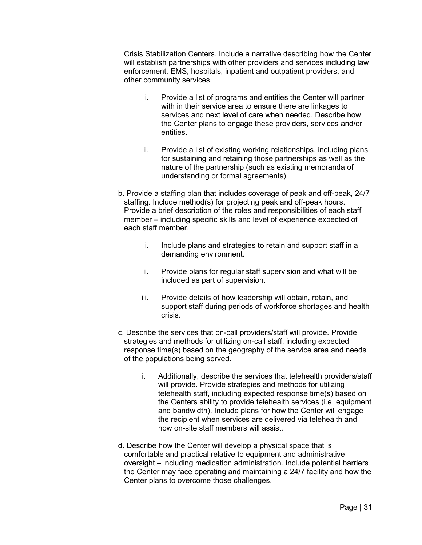Crisis Stabilization Centers. Include a narrative describing how the Center will establish partnerships with other providers and services including law enforcement, EMS, hospitals, inpatient and outpatient providers, and other community services.

- i. Provide a list of programs and entities the Center will partner with in their service area to ensure there are linkages to services and next level of care when needed. Describe how the Center plans to engage these providers, services and/or entities.
- ii. Provide a list of existing working relationships, including plans for sustaining and retaining those partnerships as well as the nature of the partnership (such as existing memoranda of understanding or formal agreements).
- b. Provide a staffing plan that includes coverage of peak and off-peak, 24/7 staffing. Include method(s) for projecting peak and off-peak hours. Provide a brief description of the roles and responsibilities of each staff member – including specific skills and level of experience expected of each staff member.
	- i. Include plans and strategies to retain and support staff in a demanding environment.
	- ii. Provide plans for regular staff supervision and what will be included as part of supervision.
	- iii. Provide details of how leadership will obtain, retain, and support staff during periods of workforce shortages and health crisis.
- c. Describe the services that on-call providers/staff will provide. Provide strategies and methods for utilizing on-call staff, including expected response time(s) based on the geography of the service area and needs of the populations being served.
	- i. Additionally, describe the services that telehealth providers/staff will provide. Provide strategies and methods for utilizing telehealth staff, including expected response time(s) based on the Centers ability to provide telehealth services (i.e. equipment and bandwidth). Include plans for how the Center will engage the recipient when services are delivered via telehealth and how on-site staff members will assist.
- d. Describe how the Center will develop a physical space that is comfortable and practical relative to equipment and administrative oversight – including medication administration. Include potential barriers the Center may face operating and maintaining a 24/7 facility and how the Center plans to overcome those challenges.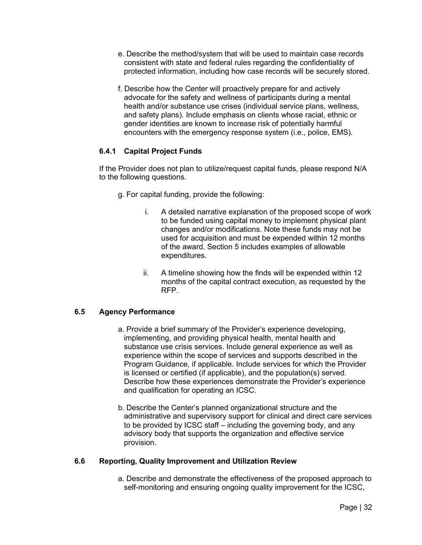- e. Describe the method/system that will be used to maintain case records consistent with state and federal rules regarding the confidentiality of protected information, including how case records will be securely stored.
- f. Describe how the Center will proactively prepare for and actively advocate for the safety and wellness of participants during a mental health and/or substance use crises (individual service plans, wellness, and safety plans). Include emphasis on clients whose racial, ethnic or gender identities are known to increase risk of potentially harmful encounters with the emergency response system (i.e., police, EMS).

## <span id="page-31-0"></span>**6.4.1 Capital Project Funds**

If the Provider does not plan to utilize/request capital funds, please respond N/A to the following questions.

- g. For capital funding, provide the following:
	- i. A detailed narrative explanation of the proposed scope of work to be funded using capital money to implement physical plant changes and/or modifications. Note these funds may not be used for acquisition and must be expended within 12 months of the award. Section 5 includes examples of allowable expenditures.
	- ii. A timeline showing how the finds will be expended within 12 months of the capital contract execution, as requested by the RFP.

## <span id="page-31-1"></span>**6.5 Agency Performance**

- a. Provide a brief summary of the Provider's experience developing, implementing, and providing physical health, mental health and substance use crisis services. Include general experience as well as experience within the scope of services and supports described in the Program Guidance, if applicable. Include services for which the Provider is licensed or certified (if applicable), and the population(s) served. Describe how these experiences demonstrate the Provider's experience and qualification for operating an ICSC.
- b. Describe the Center's planned organizational structure and the administrative and supervisory support for clinical and direct care services to be provided by ICSC staff – including the governing body, and any advisory body that supports the organization and effective service provision.

#### <span id="page-31-2"></span>**6.6 Reporting, Quality Improvement and Utilization Review**

a. Describe and demonstrate the effectiveness of the proposed approach to self-monitoring and ensuring ongoing quality improvement for the ICSC,